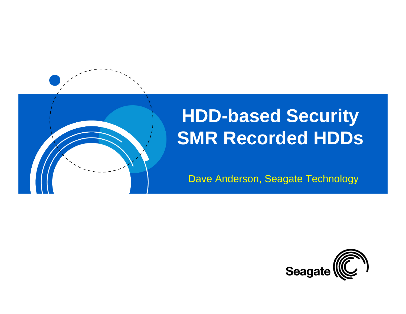

## **HDD-based Security SMR Recorded HDDs**

Dave Anderson, Seagate Technology

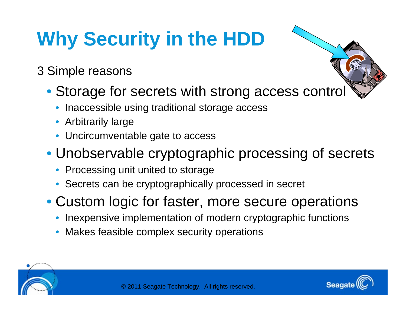# **Why Security in the HDD**

#### 3 Simple reasons

- Storage for secrets with strong access control
	- Inaccessible using traditional storage access
	- Arbitrarily large
	- Uncircumventable gate to access

### • Unobservable cryptographic processing of secrets

- Processing unit united to storage
- Secrets can be cryptographically processed in secret

• Custom logic for faster, more secure operations

- Inexpensive implementation of modern cryptographic functions
- Makes feasible complex security operations



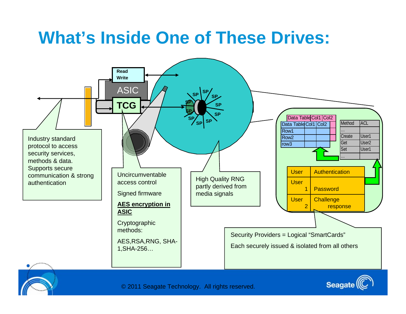### **What's Inside One of These Drives:**

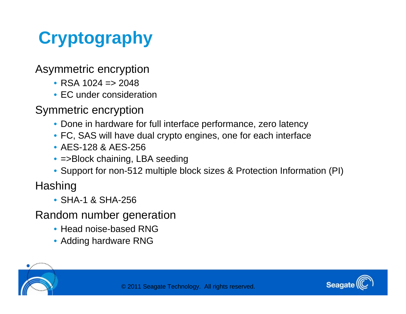## **Cryptography**

Asymmetric encryption

- RSA  $1024 = 2048$
- EC under consideration

Symmetric encryption

- Done in hardware for full interface performance, zero latency
- FC, SAS will have dual crypto engines, one for each interface
- AES-128 & AES-256
- =>Block chaining, LBA seeding
- Support for non-512 multiple block sizes & Protection Information (PI)

**Hashing** 

• SHA-1 & SHA-256

Random number generation

- Head noise-based RNG
- Adding hardware RNG



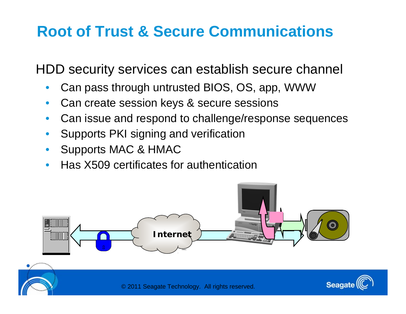### **Root of Trust & Secure Communications**

HDD security services can establish secure channel

- Can pass through untrusted BIOS, OS, app, WWW
- Can create session keys & secure sessions
- Can issue and respond to challenge/response sequences
- Supports PKI signing and verification
- Supports MAC & HMAC
- Has X509 certificates for authentication

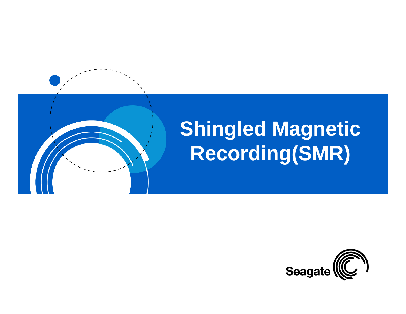

# **Shingled Magnetic Recording(SMR)**

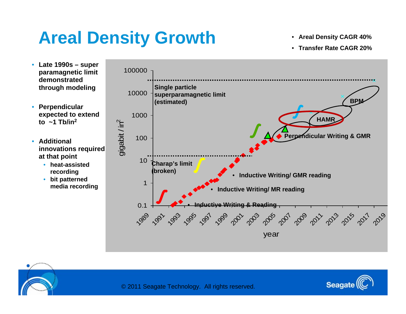## **Areal Density Growth**

- **Areal Density CAGR 40%**
- **Transfer Rate CAGR 20%**



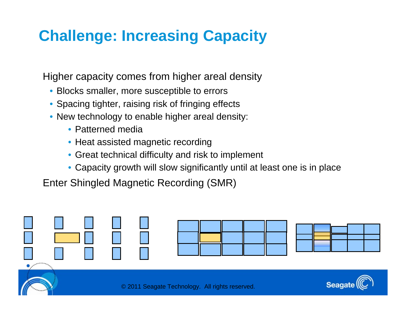### **Challenge: Increasing Capacity**

Higher capacity comes from higher areal density

- Blocks smaller, more susceptible to errors
- Spacing tighter, raising risk of fringing effects
- New technology to enable higher areal density:
	- Patterned media
	- Heat assisted magnetic recording
	- Great technical difficulty and risk to implement
	- Capacity growth will slow significantly until at least one is in place

Enter Shingled Magnetic Recording (SMR)

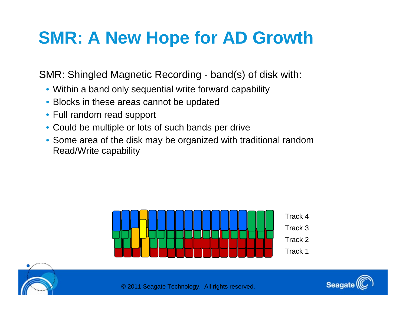## **SMR: A New Hope for AD Growth**

SMR: Shingled Magnetic Recording - band(s) of disk with:

- Within a band only sequential write forward capability
- Blocks in these areas cannot be updated
- Full random read support
- Could be multiple or lots of such bands per drive
- Some area of the disk may be organized with traditional random Read/Write capability